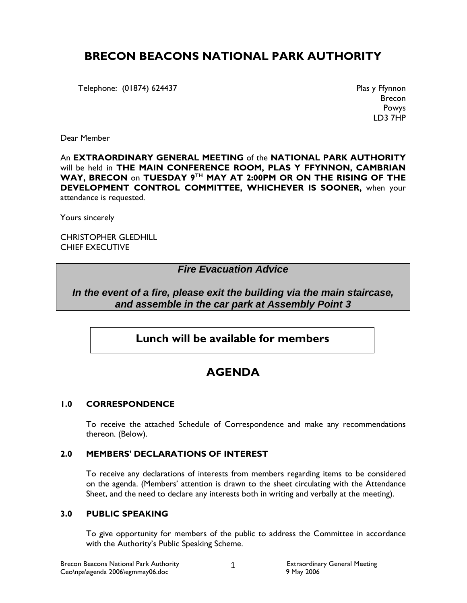# BRECON BEACONS NATIONAL PARK AUTHORITY

Telephone: (01874) 624437 Plas y Ffynnon

**Brecon** Brecon in the state of the state of the state of the state of the state of the state of the state of the state of the state of the state of the state of the state of the state of the state of the state of the stat Powys LD3 7HP

Dear Member

An **EXTRAORDINARY GENERAL MEETING** of the **NATIONAL PARK AUTHORITY** will be held in THE MAIN CONFERENCE ROOM, PLAS Y FFYNNON, CAMBRIAN WAY, BRECON on TUESDAY 9<sup>TH</sup> MAY AT 2:00PM OR ON THE RISING OF THE DEVELOPMENT CONTROL COMMITTEE, WHICHEVER IS SOONER, when your attendance is requested.

Yours sincerely

CHRISTOPHER GLEDHILL CHIEF EXECUTIVE

## **Fire Evacuation Advice**

**In the event of a fire, please exit the building via the main staircase, and assemble in the car park at Assembly Point 3** 

# Lunch will be available for members

# AGENDA

#### 1.0 CORRESPONDENCE

 To receive the attached Schedule of Correspondence and make any recommendations thereon. (Below).

### 2.0 MEMBERS' DECLARATIONS OF INTEREST

 To receive any declarations of interests from members regarding items to be considered on the agenda. (Members' attention is drawn to the sheet circulating with the Attendance Sheet, and the need to declare any interests both in writing and verbally at the meeting).

### 3.0 PUBLIC SPEAKING

To give opportunity for members of the public to address the Committee in accordance with the Authority's Public Speaking Scheme.

1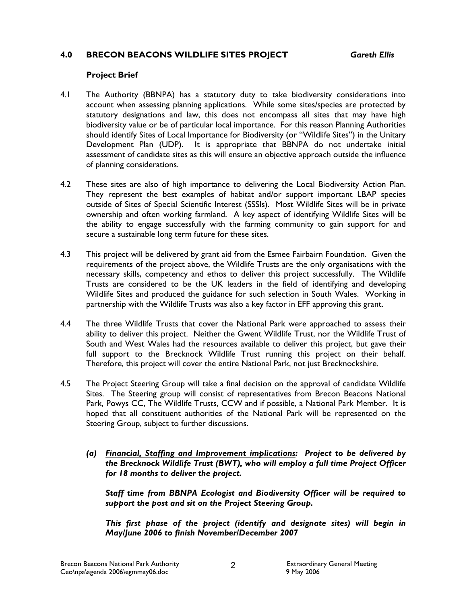## 4.0 BRECON BEACONS WILDLIFE SITES PROJECT Gareth Ellis

### Project Brief

- 4.1 The Authority (BBNPA) has a statutory duty to take biodiversity considerations into account when assessing planning applications. While some sites/species are protected by statutory designations and law, this does not encompass all sites that may have high biodiversity value or be of particular local importance. For this reason Planning Authorities should identify Sites of Local Importance for Biodiversity (or "Wildlife Sites") in the Unitary Development Plan (UDP). It is appropriate that BBNPA do not undertake initial assessment of candidate sites as this will ensure an objective approach outside the influence of planning considerations.
- 4.2 These sites are also of high importance to delivering the Local Biodiversity Action Plan. They represent the best examples of habitat and/or support important LBAP species outside of Sites of Special Scientific Interest (SSSIs). Most Wildlife Sites will be in private ownership and often working farmland. A key aspect of identifying Wildlife Sites will be the ability to engage successfully with the farming community to gain support for and secure a sustainable long term future for these sites.
- 4.3 This project will be delivered by grant aid from the Esmee Fairbairn Foundation. Given the requirements of the project above, the Wildlife Trusts are the only organisations with the necessary skills, competency and ethos to deliver this project successfully. The Wildlife Trusts are considered to be the UK leaders in the field of identifying and developing Wildlife Sites and produced the guidance for such selection in South Wales. Working in partnership with the Wildlife Trusts was also a key factor in EFF approving this grant.
- 4.4 The three Wildlife Trusts that cover the National Park were approached to assess their ability to deliver this project. Neither the Gwent Wildlife Trust, nor the Wildlife Trust of South and West Wales had the resources available to deliver this project, but gave their full support to the Brecknock Wildlife Trust running this project on their behalf. Therefore, this project will cover the entire National Park, not just Brecknockshire.
- 4.5 The Project Steering Group will take a final decision on the approval of candidate Wildlife Sites. The Steering group will consist of representatives from Brecon Beacons National Park, Powys CC, The Wildlife Trusts, CCW and if possible, a National Park Member. It is hoped that all constituent authorities of the National Park will be represented on the Steering Group, subject to further discussions.
	- (a) Financial, Staffing and Improvement implications: Project to be delivered by the Brecknock Wildlife Trust (BWT), who will employ a full time Project Officer for 18 months to deliver the project.

Staff time from BBNPA Ecologist and Biodiversity Officer will be required to support the post and sit on the Project Steering Group.

This first phase of the project (identify and designate sites) will begin in May/June 2006 to finish November/December 2007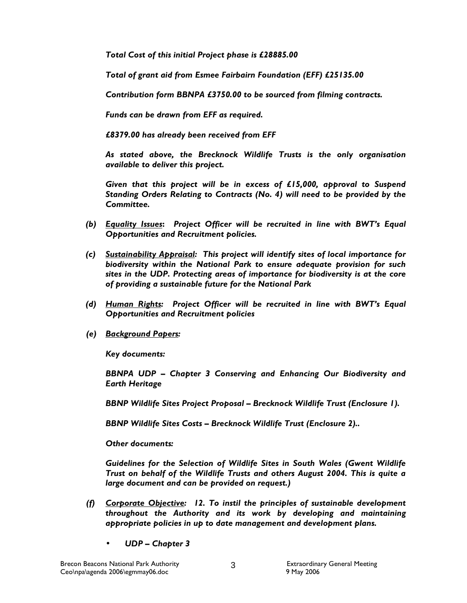Total Cost of this initial Project phase is £28885.00

Total of grant aid from Esmee Fairbairn Foundation (EFF) £25135.00

Contribution form BBNPA £3750.00 to be sourced from filming contracts.

Funds can be drawn from EFF as required.

£8379.00 has already been received from EFF

As stated above, the Brecknock Wildlife Trusts is the only organisation available to deliver this project.

Given that this project will be in excess of £15,000, approval to Suspend Standing Orders Relating to Contracts (No. 4) will need to be provided by the Committee.

- (b) Equality Issues: Project Officer will be recruited in line with BWT's Equal Opportunities and Recruitment policies.
- (c) Sustainability Appraisal: This project will identify sites of local importance for biodiversity within the National Park to ensure adequate provision for such sites in the UDP. Protecting areas of importance for biodiversity is at the core of providing a sustainable future for the National Park
- (d) Human Rights: Project Officer will be recruited in line with BWT's Equal Opportunities and Recruitment policies
- (e) Background Papers:

Key documents:

BBNPA UDP – Chapter 3 Conserving and Enhancing Our Biodiversity and Earth Heritage

BBNP Wildlife Sites Project Proposal – Brecknock Wildlife Trust (Enclosure 1).

BBNP Wildlife Sites Costs – Brecknock Wildlife Trust (Enclosure 2)..

Other documents:

Guidelines for the Selection of Wildlife Sites in South Wales (Gwent Wildlife Trust on behalf of the Wildlife Trusts and others August 2004. This is quite a large document and can be provided on request.)

- (f) Corporate Objective: 12. To instil the principles of sustainable development throughout the Authority and its work by developing and maintaining appropriate policies in up to date management and development plans.
	- UDP Chapter 3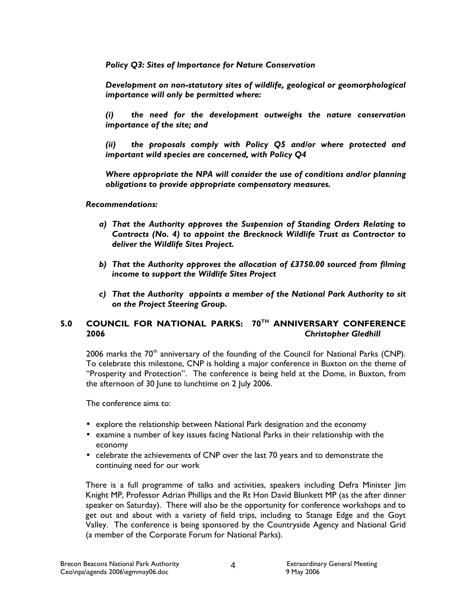Policy Q3: Sites of Importance for Nature Conservation

Development on non-statutory sites of wildlife, geological or geomorphological importance will only be permitted where:

(i) the need for the development outweighs the nature conservation importance of the site; and

(ii) the proposals comply with Policy Q5 and/or where protected and important wild species are concerned, with Policy Q4

Where appropriate the NPA will consider the use of conditions and/or planning obligations to provide appropriate compensatory measures.

#### Recommendations:

- a) That the Authority approves the Suspension of Standing Orders Relating to Contracts (No. 4) to appoint the Brecknock Wildlife Trust as Contractor to deliver the Wildlife Sites Project.
- b) That the Authority approves the allocation of £3750.00 sourced from filming income to support the Wildlife Sites Project
- c) That the Authority appoints a member of the National Park Authority to sit on the Project Steering Group.

## 5.0 COUNCIL FOR NATIONAL PARKS: 70TH ANNIVERSARY CONFERENCE 2006 Christopher Gledhill

2006 marks the  $70<sup>th</sup>$  anniversary of the founding of the Council for National Parks (CNP). To celebrate this milestone, CNP is holding a major conference in Buxton on the theme of "Prosperity and Protection". The conference is being held at the Dome, in Buxton, from the afternoon of 30 June to lunchtime on 2 July 2006.

The conference aims to:

- explore the relationship between National Park designation and the economy
- examine a number of key issues facing National Parks in their relationship with the economy
- celebrate the achievements of CNP over the last 70 years and to demonstrate the continuing need for our work

There is a full programme of talks and activities, speakers including Defra Minister Jim Knight MP, Professor Adrian Phillips and the Rt Hon David Blunkett MP (as the after dinner speaker on Saturday). There will also be the opportunity for conference workshops and to get out and about with a variety of field trips, including to Stanage Edge and the Goyt Valley. The conference is being sponsored by the Countryside Agency and National Grid (a member of the Corporate Forum for National Parks).